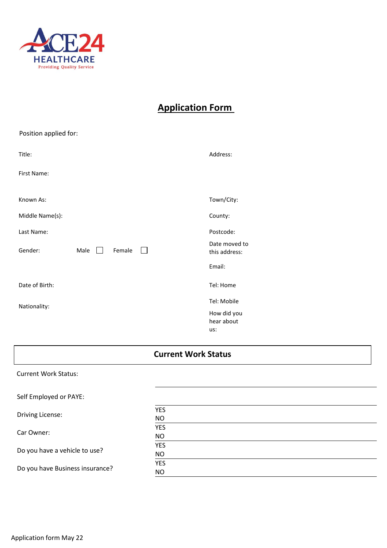

# **Application Form**

| Position applied for: |                      |                  |                                  |
|-----------------------|----------------------|------------------|----------------------------------|
| Title:                |                      |                  | Address:                         |
| First Name:           |                      |                  |                                  |
| Known As:             |                      |                  | Town/City:                       |
| Middle Name(s):       |                      |                  | County:                          |
| Last Name:            |                      |                  | Postcode:                        |
| Gender:               | Male<br>$\mathbf{1}$ | Female<br>$\Box$ | Date moved to<br>this address:   |
|                       |                      |                  | Email:                           |
| Date of Birth:        |                      |                  | Tel: Home                        |
| Nationality:          |                      |                  | Tel: Mobile                      |
|                       |                      |                  | How did you<br>hear about<br>us: |

### Current Work Status: Self Employed or PAYE: Driving License: YES NO Car Owner: YES NO Do you have a vehicle to use? YES NO Do you have Business insurance? YES NO **Current Work Status**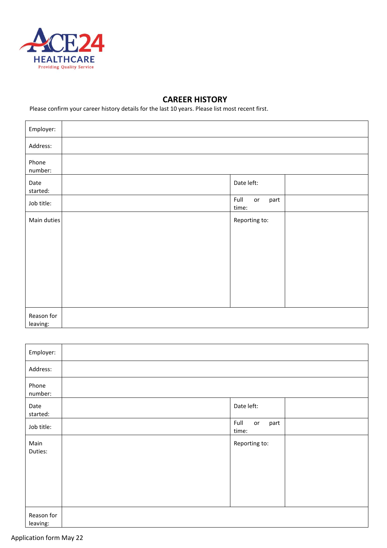

## **CAREER HISTORY**

**D I** Please confirm your career history details for the last 10 years. Please list most recent first.

| Employer:              |                             |
|------------------------|-----------------------------|
| Address:               |                             |
| Phone<br>number:       |                             |
| Date<br>started:       | Date left:                  |
| Job title:             | Full<br>part<br>or<br>time: |
| Main duties            | Reporting to:               |
|                        |                             |
|                        |                             |
|                        |                             |
|                        |                             |
| Reason for<br>leaving: |                             |

| Employer:              |                             |
|------------------------|-----------------------------|
| Address:               |                             |
| Phone<br>number:       |                             |
| Date<br>started:       | Date left:                  |
| Job title:             | Full<br>part<br>or<br>time: |
| Main<br>Duties:        | Reporting to:               |
| Reason for<br>leaving: |                             |

### Application form May 22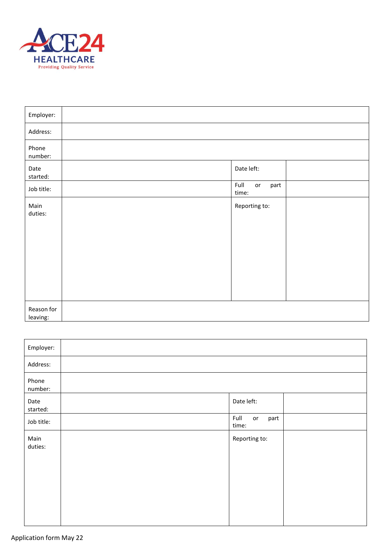

| Employer:              |                                          |
|------------------------|------------------------------------------|
| Address:               |                                          |
| Phone<br>number:       |                                          |
| Date<br>started:       | Date left:                               |
| Job title:             | Full<br>$\mathsf{or}\,$<br>part<br>time: |
| Main<br>duties:        | Reporting to:                            |
| Reason for<br>leaving: |                                          |

| Employer:        |                             |
|------------------|-----------------------------|
| Address:         |                             |
| Phone<br>number: |                             |
| Date<br>started: | Date left:                  |
| Job title:       | Full<br>part<br>or<br>time: |
| Main<br>duties:  | Reporting to:               |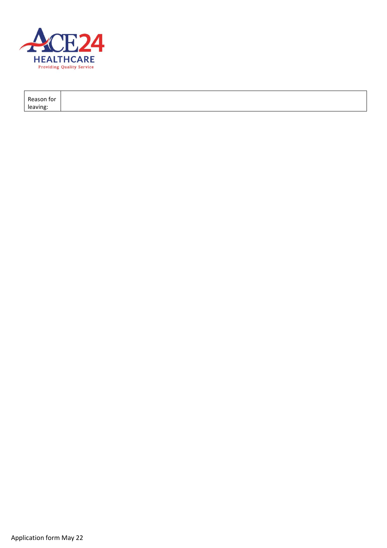

| Reason for |  |  |
|------------|--|--|
| leaving:   |  |  |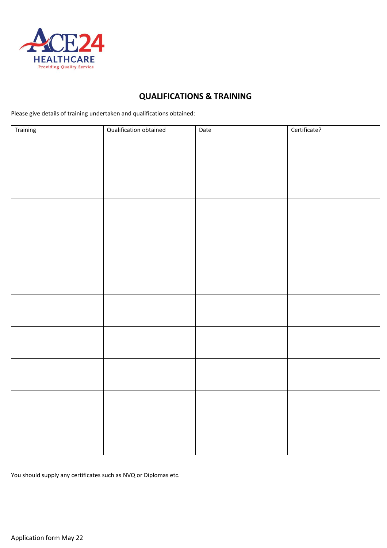

## **QUALIFICATIONS & TRAINING**

**I** Please give details of training undertaken and qualifications obtained:

| Training | <b>Qualification obtained</b> | Date | Certificate? |
|----------|-------------------------------|------|--------------|
|          |                               |      |              |
|          |                               |      |              |
|          |                               |      |              |
|          |                               |      |              |
|          |                               |      |              |
|          |                               |      |              |
|          |                               |      |              |
|          |                               |      |              |
|          |                               |      |              |
|          |                               |      |              |
|          |                               |      |              |
|          |                               |      |              |
|          |                               |      |              |
|          |                               |      |              |
|          |                               |      |              |
|          |                               |      |              |
|          |                               |      |              |
|          |                               |      |              |
|          |                               |      |              |
|          |                               |      |              |
|          |                               |      |              |
|          |                               |      |              |
|          |                               |      |              |
|          |                               |      |              |
|          |                               |      |              |
|          |                               |      |              |
|          |                               |      |              |
|          |                               |      |              |
|          |                               |      |              |
|          |                               |      |              |
|          |                               |      |              |

You should supply any certificates such as NVQ or Diplomas etc.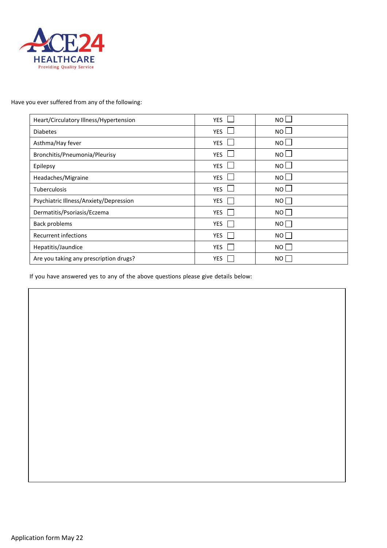

## **T** Have you ever suffered from any of the following:

| Heart/Circulatory Illness/Hypertension | <b>YES</b> | $NO$ $\Box$ |
|----------------------------------------|------------|-------------|
| <b>Diabetes</b>                        | <b>YES</b> | $NO$ $\Box$ |
| Asthma/Hay fever                       | <b>YES</b> | $NO+$       |
| Bronchitis/Pneumonia/Pleurisy          | <b>YES</b> | $NO$ $\Box$ |
| Epilepsy                               | <b>YES</b> | NO l        |
| Headaches/Migraine                     | <b>YES</b> | $NO$ $\Box$ |
| <b>Tuberculosis</b>                    | <b>YES</b> | $NO$ $\Box$ |
| Psychiatric Illness/Anxiety/Depression | YES        | NO          |
| Dermatitis/Psoriasis/Eczema            | <b>YES</b> | NO          |
| Back problems                          | YES        | NO          |
| <b>Recurrent infections</b>            | YES        | NO          |
| Hepatitis/Jaundice                     | <b>YES</b> | NO I        |
| Are you taking any prescription drugs? | <b>YES</b> | NO          |

If you have answered yes to any of the above questions please give details below: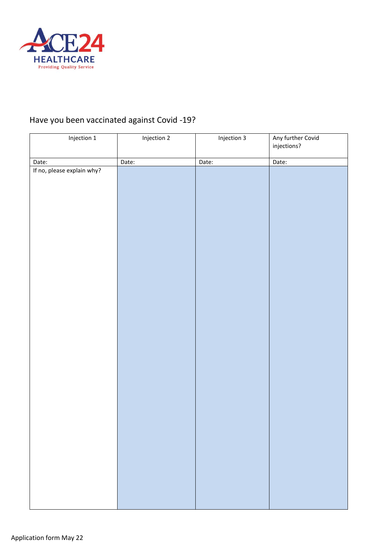

#### **I** Have you been vaccinated against Covid -19?

| $\cdot$                             | Ğ           |             |                                  |
|-------------------------------------|-------------|-------------|----------------------------------|
| Injection 1                         | Injection 2 | Injection 3 | Any further Covid<br>injections? |
|                                     |             |             |                                  |
| Date:<br>If no, please explain why? | Date:       | Date:       | Date:                            |
|                                     |             |             |                                  |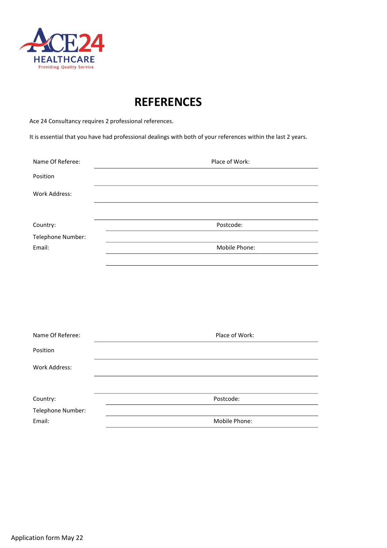

# **REFERENCES**

**I O** Ace 24 Consultancy requires 2 professional references.

**N** It is essential that you have had professional dealings with both of your references within the last 2 years.

| Name Of Referee:  | Place of Work: |
|-------------------|----------------|
| Position          |                |
| Work Address:     |                |
|                   |                |
| Country:          | Postcode:      |
| Telephone Number: |                |
| Email:            | Mobile Phone:  |
|                   |                |

| Name Of Referee:  | Place of Work: |  |
|-------------------|----------------|--|
| Position          |                |  |
| Work Address:     |                |  |
|                   |                |  |
| Country:          | Postcode:      |  |
| Telephone Number: |                |  |
| Email:            | Mobile Phone:  |  |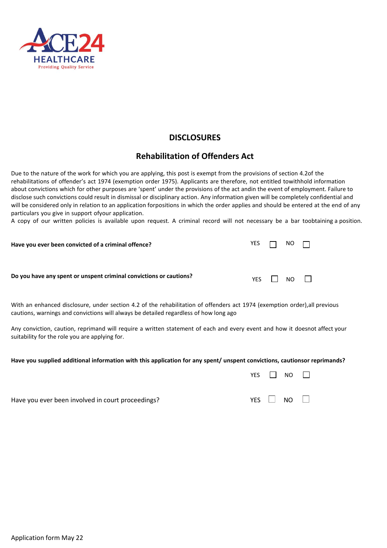

## **DISCLOSURES**

## **Rehabilitation of Offenders Act**

Due to the nature of the work for which you are applying, this post is exempt from the provisions of section 4.2of the<br>rehabilitations of offender's act 1974 (exemption order 1975). Applicants are therefore, not entitled t about convictions which for other purposes are 'spent' under the provisions of the act andin the event of employment. Failure to rehabilitations of offender's act 1974 (exemption order 1975). Applicants are therefore, not entitled towithhold information disclose such convictions could result in dismissal or disciplinary action. Any information given will be completely confidential and will be considered only in relation to an application forpositions in which the order applies and should be entered at the end of any particulars you give in support ofyour application.

A copy of our written policies is available upon request. A criminal record will not necessary be a bar toobtaining a position.

| Have you ever been convicted of a criminal offence?                | YES $\Box$ NO $\Box$ |                      |  |
|--------------------------------------------------------------------|----------------------|----------------------|--|
| Do you have any spent or unspent criminal convictions or cautions? |                      | YES $\Box$ NO $\Box$ |  |

With an enhanced disclosure, under section 4.2 of the rehabilitation of offenders act 1974 (exemption order),all previous cautions, warnings and convictions will always be detailed regardless of how long ago

Any conviction, caution, reprimand will require a written statement of each and every event and how it doesnot affect your suitability for the role you are applying for.

#### Have you supplied additional information with this application for any spent/ unspent convictions, cautionsor reprimands?

|                                                   | YES $\Box$ NO $\Box$ |                      |  |
|---------------------------------------------------|----------------------|----------------------|--|
| Have you ever been involved in court proceedings? |                      | YES $\Box$ NO $\Box$ |  |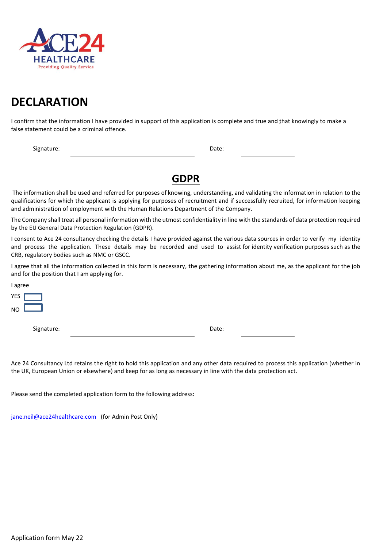

# **T DECLARATION**

I confirm that the information I have provided in support of this application is complete and true and *that knowingly to make a* false statement could be a criminal offence.

**Fignature:** Date: Date: Date: Date: Date: Date: Date: Date: Date: Date: Date: Date: Date: Date: Date: Date: Date: Date: Date: Date: Date: Date: Date: Date: Date: Date: Date: Date: Date: Date: Date: Date: Date: Date: Date:

# **GDPR**

**M** The information shall be used and referred for purposes of knowing, understanding, and validating the information in relation to the qualifications for which the applicant is applying for purposes of recruitment and if successfully recruited, for information keeping and administration of employment with the Human Relations Department of the Company.

The Company shall treat all personal information with the utmost confidentiality in line with the standards of data protection required by the EU General Data Protection Regulation (GDPR).

I consent to Ace 24 consultancy checking the details I have provided against the various data sources in order to verify my identity and process the application. These details may be recorded and used to assist for identity verification purposes such as the CRB, regulatory bodies such as NMC or GSCC.

I agree that all the information collected in this form is necessary, the gathering information about me, as the applicant for the job and for the position that I am applying for.

I agree YES  $N<sub>O</sub>$ 

Signature: Date: Date: Date: Date: Date: Date: Date: Date: Date: Date: Date: Date: Date: Date: Date: Date: Date: Date: Date: Date: Date: Date: Date: Date: Date: Date: Date: Date: Date: Date: Date: Date: Date: Date: Date: D

Ace 24 Consultancy Ltd retains the right to hold this application and any other data required to process this application (whether in the UK, European Union or elsewhere) and keep for as long as necessary in line with the data protection act.

Please send the completed application form to the following address:

[jane.neil@ace24healthcare.com](mailto:jane.neil@ace24healthcare.com) (for Admin Post Only)